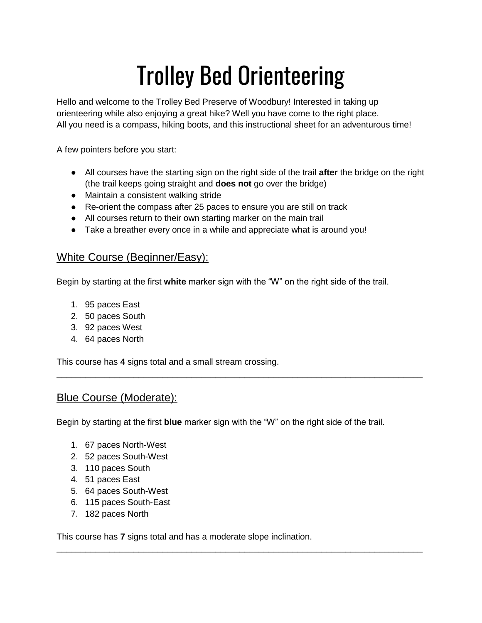# Trolley Bed Orienteering

Hello and welcome to the Trolley Bed Preserve of Woodbury! Interested in taking up orienteering while also enjoying a great hike? Well you have come to the right place. All you need is a compass, hiking boots, and this instructional sheet for an adventurous time!

A few pointers before you start:

- All courses have the starting sign on the right side of the trail **after** the bridge on the right (the trail keeps going straight and **does not** go over the bridge)
- Maintain a consistent walking stride
- Re-orient the compass after 25 paces to ensure you are still on track
- All courses return to their own starting marker on the main trail
- Take a breather every once in a while and appreciate what is around you!

#### White Course (Beginner/Easy):

Begin by starting at the first **white** marker sign with the "W" on the right side of the trail.

- 1. 95 paces East
- 2. 50 paces South
- 3. 92 paces West
- 4. 64 paces North

This course has **4** signs total and a small stream crossing.

### Blue Course (Moderate):

Begin by starting at the first **blue** marker sign with the "W" on the right side of the trail.

\_\_\_\_\_\_\_\_\_\_\_\_\_\_\_\_\_\_\_\_\_\_\_\_\_\_\_\_\_\_\_\_\_\_\_\_\_\_\_\_\_\_\_\_\_\_\_\_\_\_\_\_\_\_\_\_\_\_\_\_\_\_\_\_\_\_\_\_\_\_\_\_\_\_\_\_

\_\_\_\_\_\_\_\_\_\_\_\_\_\_\_\_\_\_\_\_\_\_\_\_\_\_\_\_\_\_\_\_\_\_\_\_\_\_\_\_\_\_\_\_\_\_\_\_\_\_\_\_\_\_\_\_\_\_\_\_\_\_\_\_\_\_\_\_\_\_\_\_\_\_\_\_

- 1. 67 paces North-West
- 2. 52 paces South-West
- 3. 110 paces South
- 4. 51 paces East
- 5. 64 paces South-West
- 6. 115 paces South-East
- 7. 182 paces North

This course has **7** signs total and has a moderate slope inclination.